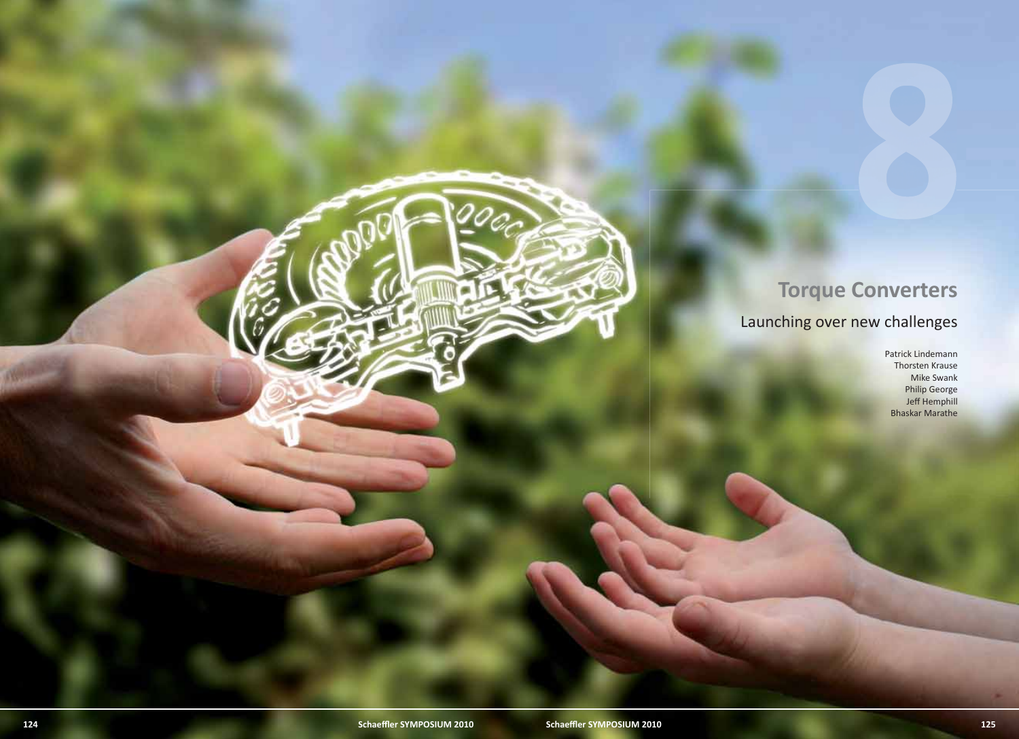# **Torque Converters**

Launching over new challenges

Patrick Lindemann Thorsten Krause Mike Swank Philip George Jeff Hemphill Bhaskar Marathe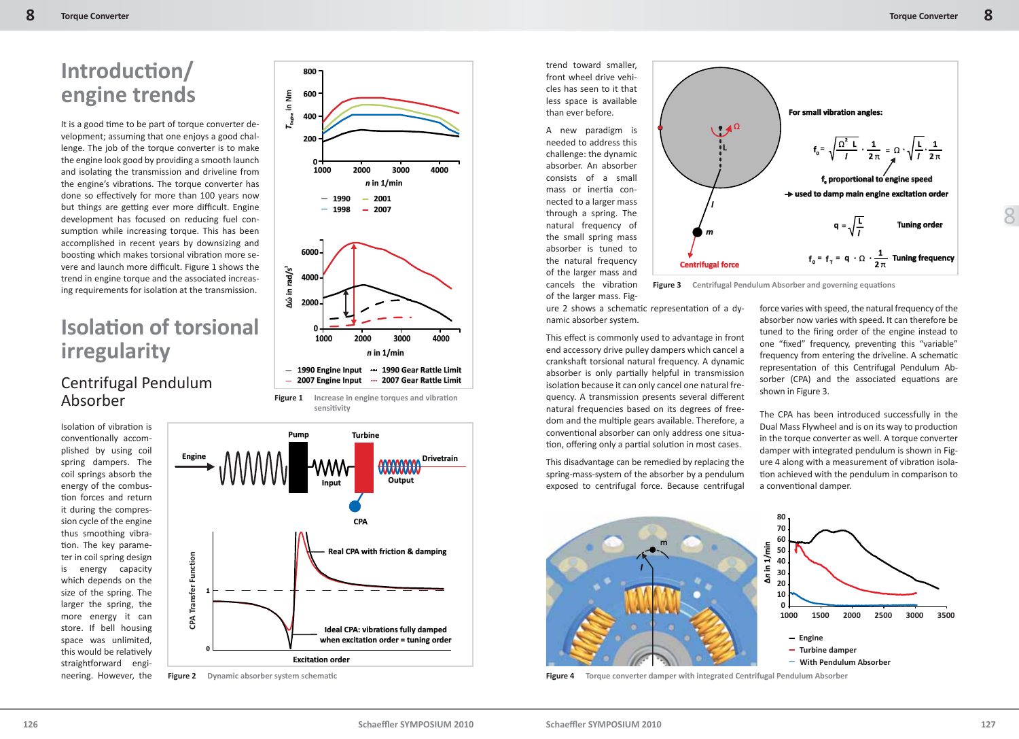## **Introducti on/ engine trends**

It is a good time to be part of torque converter development; assuming that one enjoys a good challenge. The job of the torque converter is to make the engine look good by providing a smooth launch and isolating the transmission and driveline from the engine's vibrations. The torque converter has done so effectively for more than 100 years now but things are getting ever more difficult. Engine development has focused on reducing fuel consumption while increasing torque. This has been accomplished in recent years by downsizing and boosting which makes torsional vibration more severe and launch more difficult. Figure 1 shows the trend in engine torque and the associated increasing requirements for isolation at the transmission.

## **Isolati on of torsional irregularity**

### Centrifugal Pendulum Absorber

Isolation of vibration is conventionally accomplished by using coil spring dampers. The coil springs absorb the energy of the combustion forces and return it during the compression cycle of the engine thus smoothing vibration. The key parameter in coil spring design is energy capacity which depends on the size of the spring. The larger the spring, the more energy it can store. If bell housing space was unlimited, this would be relatively straightforward engineering. However, the



**600**

**800**

**Excitation order** 

**Figure 2** Dynamic absorber system schematic

**0**

**CPA Transfer Function**

**CPA Transfer Function** 

trend toward smaller, front wheel drive vehicles has seen to it that less space is available than ever before.

A new paradigm is needed to address this challenge: the dynamic absorber. An absorber consists of a small mass or inertia connected to a larger mass through a spring. The natural frequency of the small spring mass absorber is tuned to the natural frequency of the larger mass and cancels the vibration of the larger mass. Fig-



**Figure 3** Centrifugal Pendulum Absorber and governing equations

ure 2 shows a schematic representation of a dynamic absorber system.

This effect is commonly used to advantage in front end accessory drive pulley dampers which cancel a crankshaft torsional natural frequency. A dynamic absorber is only partially helpful in transmission isolation because it can only cancel one natural frequency. A transmission presents several different natural frequencies based on its degrees of freedom and the multiple gears available. Therefore, a conventional absorber can only address one situation, offering only a partial solution in most cases.

This disadvantage can be remedied by replacing the spring-mass-system of the absorber by a pendulum exposed to centrifugal force. Because centrifugal

force varies with speed, the natural frequency of the absorber now varies with speed. It can therefore be tuned to the firing order of the engine instead to one "fixed" frequency, preventing this "variable" frequency from entering the driveline. A schematic representation of this Centrifugal Pendulum Absorber (CPA) and the associated equations are shown in Figure 3.

The CPA has been introduced successfully in the Dual Mass Flywheel and is on its way to production in the torque converter as well. A torque converter damper with integrated pendulum is shown in Figure 4 along with a measurement of vibration isolation achieved with the pendulum in comparison to a conventional damper.



**Figure 4 Torque converter damper with integrated Centrifugal Pendulum Absorber**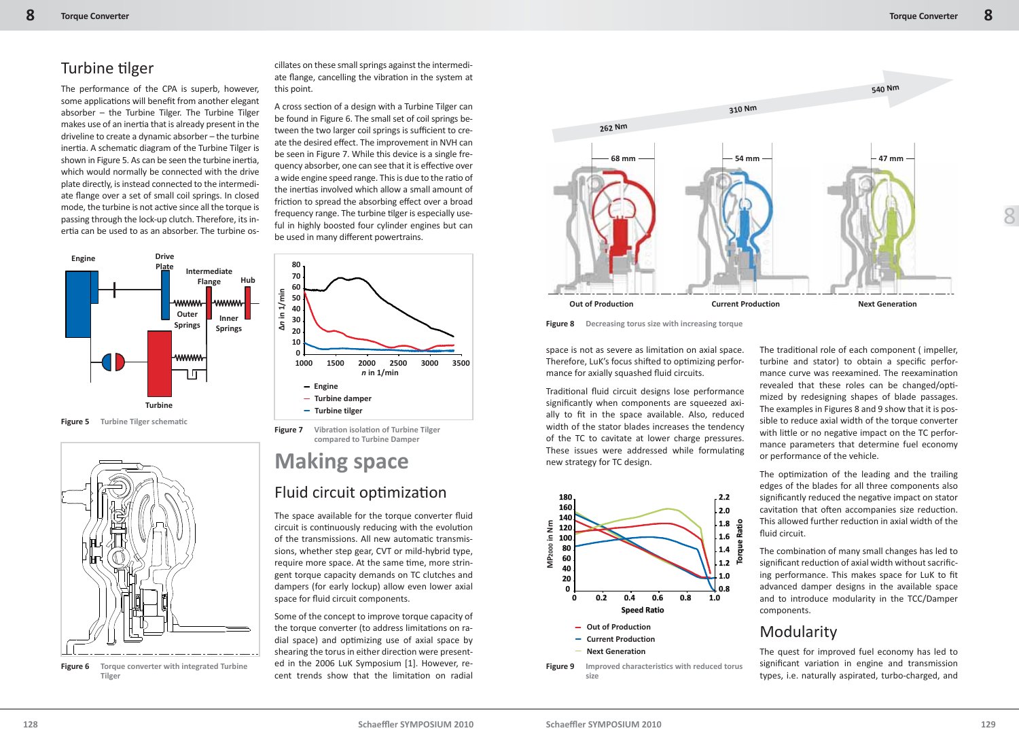### Turbine tilger

The performance of the CPA is superb, however, some applications will benefit from another elegant absorber – the Turbine Tilger. The Turbine Tilger makes use of an inertia that is already present in the driveline to create a dynamic absorber – the turbine inertia. A schematic diagram of the Turbine Tilger is shown in Figure 5. As can be seen the turbine inertia, which would normally be connected with the drive plate directly, is instead connected to the intermediate flange over a set of small coil springs. In closed mode, the turbine is not active since all the torque is passing through the lock-up clutch. Therefore, its inertia can be used to as an absorber. The turbine os-





**Figure 6 Torque converter with integrated Turbine Tilger**

cillates on these small springs against the intermediate flange, cancelling the vibration in the system at this point.

A cross section of a design with a Turbine Tilger can be found in Figure 6. The small set of coil springs between the two larger coil springs is sufficient to create the desired effect. The improvement in NVH can be seen in Figure 7. While this device is a single frequency absorber, one can see that it is effective over a wide engine speed range. This is due to the ratio of the inertias involved which allow a small amount of friction to spread the absorbing effect over a broad frequency range. The turbine tilger is especially useful in highly boosted four cylinder engines but can be used in many different powertrains.



**Figure 7** Vibration isolation of Turbine Tilger **compared to Turbine Damper**

# **Making space**

#### Fluid circuit optimization

The space available for the torque converter fluid circuit is continuously reducing with the evolution of the transmissions. All new automatic transmissions, whether step gear, CVT or mild-hybrid type, require more space. At the same time, more stringent torque capacity demands on TC clutches and dampers (for early lockup) allow even lower axial space for fluid circuit components.

Some of the concept to improve torque capacity of the torque converter (to address limitations on radial space) and optimizing use of axial space by shearing the torus in either direction were presented in the 2006 LuK Symposium [1]. However, recent trends show that the limitation on radial



**Figure 8 Decreasing torus size with increasing torque**

space is not as severe as limitation on axial space. Therefore, LuK's focus shifted to optimizing performance for axially squashed fluid circuits.

Traditional fluid circuit designs lose performance significantly when components are squeezed axially to fit in the space available. Also, reduced width of the stator blades increases the tendency of the TC to cavitate at lower charge pressures. These issues were addressed while formulating new strategy for TC design.



**size**

The traditional role of each component (impeller, turbine and stator) to obtain a specific performance curve was reexamined. The reexamination revealed that these roles can be changed/optimized by redesigning shapes of blade passages. The examples in Figures 8 and 9 show that it is possible to reduce axial width of the torque converter with little or no negative impact on the TC performance parameters that determine fuel economy or performance of the vehicle.

The optimization of the leading and the trailing edges of the blades for all three components also significantly reduced the negative impact on stator cavitation that often accompanies size reduction. This allowed further reduction in axial width of the fluid circuit.

The combination of many small changes has led to significant reduction of axial width without sacrificing performance. This makes space for LuK to fit advanced damper designs in the available space and to introduce modularity in the TCC/Damper components.

### Modularity

The quest for improved fuel economy has led to significant variation in engine and transmission types, i.e. naturally aspirated, turbo-charged, and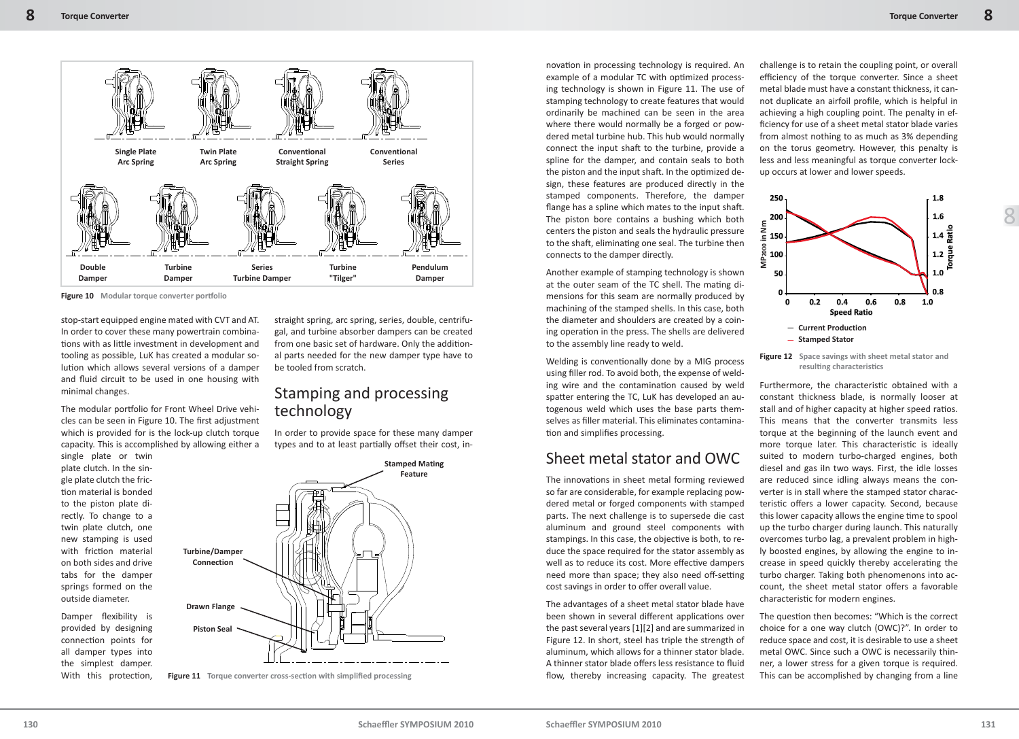8



Figure 10 Modular torque converter portfolio

stop-start equipped engine mated with CVT and AT. In order to cover these many powertrain combinations with as little investment in development and tooling as possible, LuK has created a modular solution which allows several versions of a damper and fluid circuit to be used in one housing with minimal changes.

The modular portfolio for Front Wheel Drive vehicles can be seen in Figure 10. The first adjustment which is provided for is the lock-up clutch torque capacity. This is accomplished by allowing either a

single plate or twin plate clutch. In the single plate clutch the friction material is bonded to the piston plate directly. To change to a twin plate clutch, one new stamping is used with friction material on both sides and drive tabs for the damper springs formed on the outside diameter.

Damper flexibility is provided by designing connection points for all damper types into the simplest damper. With this protection.

straight spring, arc spring, series, double, centrifugal, and turbine absorber dampers can be created from one basic set of hardware. Only the additional parts needed for the new damper type have to be tooled from scratch.

#### Stamping and processing technology

In order to provide space for these many damper types and to at least partially offset their cost, in-



**Figure 11** Torque converter cross-section with simplified processing

novation in processing technology is required. An example of a modular TC with optimized processing technology is shown in Figure 11. The use of stamping technology to create features that would ordinarily be machined can be seen in the area where there would normally be a forged or powdered metal turbine hub. This hub would normally connect the input shaft to the turbine, provide a spline for the damper, and contain seals to both the piston and the input shaft. In the optimized design, these features are produced directly in the stamped components. Therefore, the damper flange has a spline which mates to the input shaft. The piston bore contains a bushing which both centers the piston and seals the hydraulic pressure to the shaft, eliminating one seal. The turbine then connects to the damper directly.

Another example of stamping technology is shown at the outer seam of the TC shell. The mating dimensions for this seam are normally produced by machining of the stamped shells. In this case, both the diameter and shoulders are created by a coining operation in the press. The shells are delivered to the assembly line ready to weld.

Welding is conventionally done by a MIG process using filler rod. To avoid both, the expense of welding wire and the contamination caused by weld spatter entering the TC, LuK has developed an autogenous weld which uses the base parts themselves as filler material. This eliminates contamination and simplifies processing.

#### Sheet metal stator and OWC

The innovations in sheet metal forming reviewed so far are considerable, for example replacing powdered metal or forged components with stamped parts. The next challenge is to supersede die cast aluminum and ground steel components with stampings. In this case, the objective is both, to reduce the space required for the stator assembly as well as to reduce its cost. More effective dampers need more than space; they also need off-setting cost savings in order to offer overall value.

The advantages of a sheet metal stator blade have been shown in several different applications over the past several years [1][2] and are summarized in Figure 12. In short, steel has triple the strength of aluminum, which allows for a thinner stator blade. A thinner stator blade offers less resistance to fluid flow, thereby increasing capacity. The greatest

challenge is to retain the coupling point, or overall efficiency of the torque converter. Since a sheet metal blade must have a constant thickness, it cannot duplicate an airfoil profile, which is helpful in achieving a high coupling point. The penalty in efficiency for use of a sheet metal stator blade varies from almost nothing to as much as 3% depending on the torus geometry. However, this penalty is less and less meaningful as torque converter lockup occurs at lower and lower speeds.



**Figure 12 Space savings with sheet metal stator and resulti ng characteristi cs**

Furthermore, the characteristic obtained with a constant thickness blade, is normally looser at stall and of higher capacity at higher speed ratios. This means that the converter transmits less torque at the beginning of the launch event and more torque later. This characteristic is ideally suited to modern turbo-charged engines, both diesel and gas iIn two ways. First, the idle losses are reduced since idling always means the converter is in stall where the stamped stator characteristic offers a lower capacity. Second, because this lower capacity allows the engine time to spool up the turbo charger during launch. This naturally overcomes turbo lag, a prevalent problem in highly boosted engines, by allowing the engine to increase in speed quickly thereby accelerating the turbo charger. Taking both phenomenons into account, the sheet metal stator offers a favorable characteristic for modern engines.

The question then becomes: "Which is the correct choice for a one way clutch (OWC)?". In order to reduce space and cost, it is desirable to use a sheet metal OWC. Since such a OWC is necessarily thinner, a lower stress for a given torque is required. This can be accomplished by changing from a line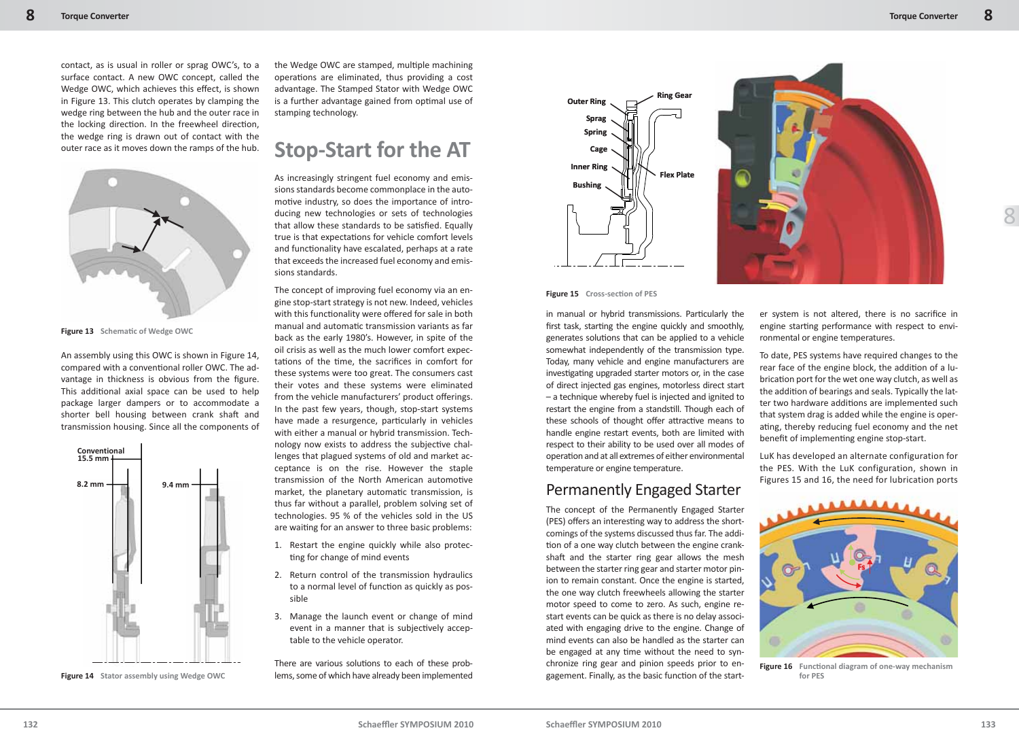contact, as is usual in roller or sprag OWC's, to a surface contact. A new OWC concept, called the Wedge OWC, which achieves this effect, is shown in Figure 13. This clutch operates by clamping the wedge ring between the hub and the outer race in the locking direction. In the freewheel direction, the wedge ring is drawn out of contact with the outer race as it moves down the ramps of the hub.



**Figure 13** Schematic of Wedge OWC

An assembly using this OWC is shown in Figure 14, compared with a conventional roller OWC. The advantage in thickness is obvious from the figure. This additional axial space can be used to help package larger dampers or to accommodate a shorter bell housing between crank shaft and transmission housing. Since all the components of



**Figure 14 Stator assembly using Wedge OWC**

the Wedge OWC are stamped, multiple machining operations are eliminated, thus providing a cost advantage. The Stamped Stator with Wedge OWC is a further advantage gained from optimal use of stamping technology.

## **Stop-Start for the AT**

As increasingly stringent fuel economy and emissions standards become commonplace in the automotive industry, so does the importance of introducing new technologies or sets of technologies that allow these standards to be satisfied. Equally true is that expectations for vehicle comfort levels and functionality have escalated, perhaps at a rate that exceeds the increased fuel economy and emissions standards.

The concept of improving fuel economy via an engine stop-start strategy is not new. Indeed, vehicles with this functionality were offered for sale in both manual and automatic transmission variants as far back as the early 1980's. However, in spite of the oil crisis as well as the much lower comfort expectations of the time, the sacrifices in comfort for these systems were too great. The consumers cast their votes and these systems were eliminated from the vehicle manufacturers' product offerings. In the past few years, though, stop-start systems have made a resurgence, particularly in vehicles with either a manual or hybrid transmission. Technology now exists to address the subjective challenges that plagued systems of old and market acceptance is on the rise. However the staple transmission of the North American automotive market, the planetary automatic transmission, is thus far without a parallel, problem solving set of technologies. 95 % of the vehicles sold in the US are waiting for an answer to three basic problems:

- 1. Restart the engine quickly while also protecting for change of mind events
- 2. Return control of the transmission hydraulics to a normal level of function as quickly as possible
- 3. Manage the launch event or change of mind event in a manner that is subjectively acceptable to the vehicle operator.

There are various solutions to each of these problems, some of which have already been implemented



**Figure 15** Cross-section of PES

in manual or hybrid transmissions. Particularly the first task, starting the engine quickly and smoothly, generates solutions that can be applied to a vehicle somewhat independently of the transmission type. Today, many vehicle and engine manufacturers are investigating upgraded starter motors or, in the case of direct injected gas engines, motorless direct start – a technique whereby fuel is injected and ignited to restart the engine from a standstill. Though each of these schools of thought offer attractive means to handle engine restart events, both are limited with respect to their ability to be used over all modes of operation and at all extremes of either environmental temperature or engine temperature.

#### Permanently Engaged Starter

The concept of the Permanently Engaged Starter (PES) offers an interesting way to address the shortcomings of the systems discussed thus far. The addition of a one way clutch between the engine crankshaft and the starter ring gear allows the mesh between the starter ring gear and starter motor pinion to remain constant. Once the engine is started, the one way clutch freewheels allowing the starter motor speed to come to zero. As such, engine restart events can be quick as there is no delay associated with engaging drive to the engine. Change of mind events can also be handled as the starter can be engaged at any time without the need to synchronize ring gear and pinion speeds prior to engagement. Finally, as the basic function of the starter system is not altered, there is no sacrifice in engine starting performance with respect to environmental or engine temperatures.

To date, PES systems have required changes to the rear face of the engine block, the addition of a lubrication port for the wet one way clutch, as well as the addition of bearings and seals. Typically the latter two hardware additions are implemented such that system drag is added while the engine is operating, thereby reducing fuel economy and the net benefit of implementing engine stop-start.

LuK has developed an alternate configuration for the PES. With the LuK configuration, shown in Figures 15 and 16, the need for lubrication ports



**Figure 16** Functional diagram of one-way mechanism **for PES**

8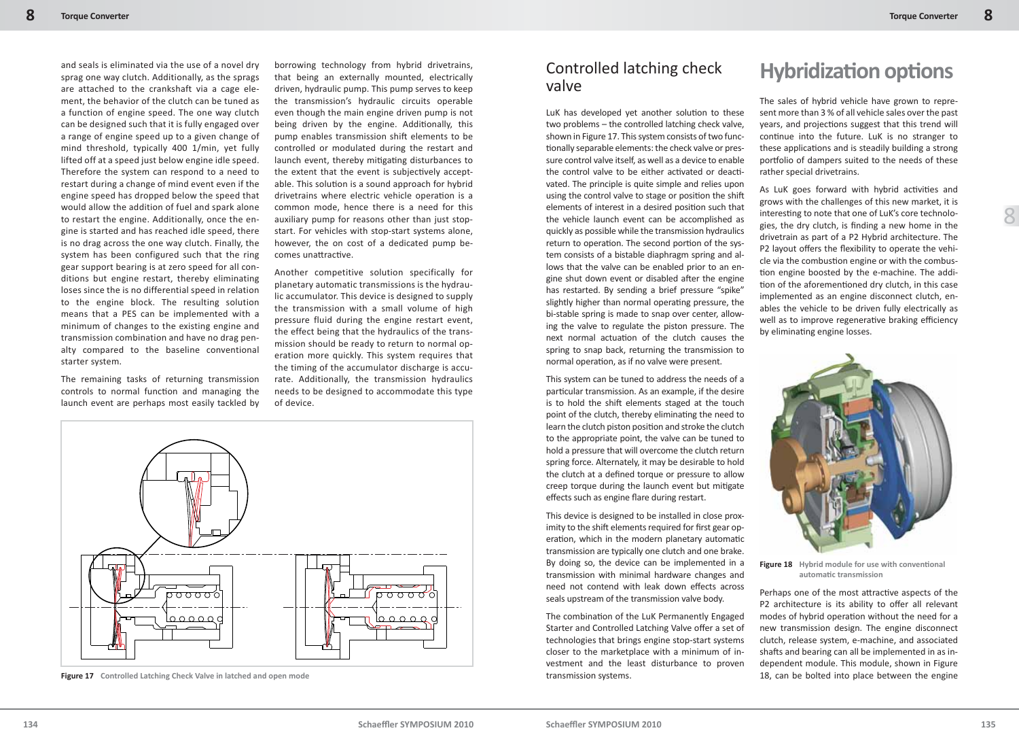8

sprag one way clutch. Additionally, as the sprags are attached to the crankshaft via a cage element, the behavior of the clutch can be tuned as a function of engine speed. The one way clutch can be designed such that it is fully engaged over a range of engine speed up to a given change of mind threshold, typically 400 1/min, yet fully lifted off at a speed just below engine idle speed. Therefore the system can respond to a need to restart during a change of mind event even if the engine speed has dropped below the speed that would allow the addition of fuel and spark alone to restart the engine. Additionally, once the engine is started and has reached idle speed, there is no drag across the one way clutch. Finally, the system has been configured such that the ring gear support bearing is at zero speed for all conditions but engine restart, thereby eliminating loses since the is no differential speed in relation to the engine block. The resulting solution means that a PES can be implemented with a minimum of changes to the existing engine and transmission combination and have no drag penalty compared to the baseline conventional starter system.

and seals is eliminated via the use of a novel dry

The remaining tasks of returning transmission controls to normal function and managing the launch event are perhaps most easily tackled by borrowing technology from hybrid drivetrains, that being an externally mounted, electrically driven, hydraulic pump. This pump serves to keep the transmission's hydraulic circuits operable even though the main engine driven pump is not being driven by the engine. Additionally, this pump enables transmission shift elements to be controlled or modulated during the restart and launch event, thereby mitigating disturbances to the extent that the event is subjectively acceptable. This solution is a sound approach for hybrid drivetrains where electric vehicle operation is a common mode, hence there is a need for this auxiliary pump for reasons other than just stopstart. For vehicles with stop-start systems alone, however, the on cost of a dedicated pump becomes unattractive.

Another competitive solution specifically for planetary automatic transmissions is the hydraulic accumulator. This device is designed to supply the transmission with a small volume of high pressure fluid during the engine restart event, the effect being that the hydraulics of the transmission should be ready to return to normal operation more quickly. This system requires that the timing of the accumulator discharge is accurate. Additionally, the transmission hydraulics needs to be designed to accommodate this type of device.



**Figure 17** Controlled Latching Check Valve in latched and open mode 18, can be bolted into place between the engine

#### Controlled latching check valve

LuK has developed yet another solution to these two problems – the controlled latching check valve, shown in Figure 17. This system consists of two functionally separable elements: the check valve or pressure control valve itself, as well as a device to enable the control valve to be either activated or deactivated. The principle is quite simple and relies upon using the control valve to stage or position the shift elements of interest in a desired position such that the vehicle launch event can be accomplished as quickly as possible while the transmission hydraulics return to operation. The second portion of the system consists of a bistable diaphragm spring and allows that the valve can be enabled prior to an engine shut down event or disabled after the engine has restarted. By sending a brief pressure "spike" slightly higher than normal operating pressure, the bi-stable spring is made to snap over center, allowing the valve to regulate the piston pressure. The next normal actuation of the clutch causes the spring to snap back, returning the transmission to normal operation, as if no valve were present.

This system can be tuned to address the needs of a particular transmission. As an example, if the desire is to hold the shift elements staged at the touch point of the clutch, thereby eliminating the need to learn the clutch piston position and stroke the clutch to the appropriate point, the valve can be tuned to hold a pressure that will overcome the clutch return spring force. Alternately, it may be desirable to hold the clutch at a defined torque or pressure to allow creep torque during the launch event but mitigate effects such as engine flare during restart.

This device is designed to be installed in close proximity to the shift elements required for first gear operation, which in the modern planetary automatic transmission are typically one clutch and one brake. By doing so, the device can be implemented in a transmission with minimal hardware changes and need not contend with leak down effects across seals upstream of the transmission valve body.

The combination of the LuK Permanently Engaged Starter and Controlled Latching Valve offer a set of technologies that brings engine stop-start systems closer to the marketplace with a minimum of investment and the least disturbance to proven transmission systems.

## **Hybridizati on opti ons**

The sales of hybrid vehicle have grown to represent more than 3 % of all vehicle sales over the past years, and projections suggest that this trend will continue into the future. LuK is no stranger to these applications and is steadily building a strong portfolio of dampers suited to the needs of these rather special drivetrains.

As LuK goes forward with hybrid activities and grows with the challenges of this new market, it is interesting to note that one of LuK's core technologies, the dry clutch, is finding a new home in the drivetrain as part of a P2 Hybrid architecture. The P2 layout offers the flexibility to operate the vehicle via the combustion engine or with the combustion engine boosted by the e-machine. The addition of the aforementioned dry clutch, in this case implemented as an engine disconnect clutch, enables the vehicle to be driven fully electrically as well as to improve regenerative braking efficiency by eliminating engine losses.



Figure 18 Hybrid module for use with conventional **automati c transmission**

Perhaps one of the most attractive aspects of the P2 architecture is its ability to offer all relevant modes of hybrid operation without the need for a new transmission design. The engine disconnect clutch, release system, e-machine, and associated shafts and bearing can all be implemented in as independent module. This module, shown in Figure